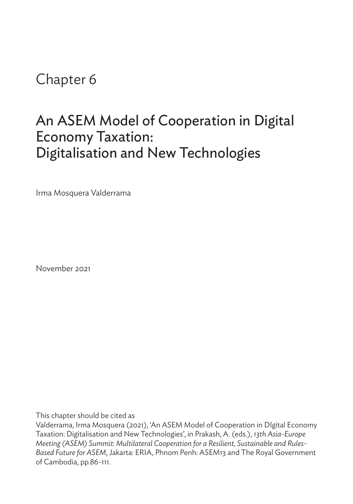# Chapter 6

# An ASEM Model of Cooperation in Digital Economy Taxation: Digitalisation and New Technologies

Irma Mosquera Valderrama

November 2021

This chapter should be cited as

Valderrama, Irma Mosquera (2021), 'An ASEM Model of Cooperation in DIgital Economy Taxation: Digitalisation and New Technologies', in Prakash, A. (eds.), *13th Asia-Europe Meeting (ASEM) Summit: Multilateral Cooperation for a Resilient, Sustainable and Rules-Based Future for ASEM*, Jakarta: ERIA, Phnom Penh: ASEM13 and The Royal Government of Cambodia, pp.86-111.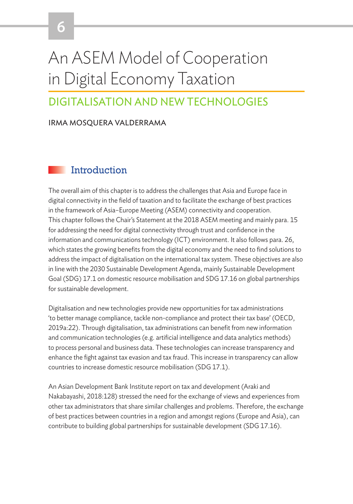# An ASEM Model of Cooperation in Digital Economy Taxation

# DIGITALISATION AND NEW TECHNOLOGIES

#### IRMA MOSQUERA VALDERRAMA

6

## Introduction

The overall aim of this chapter is to address the challenges that Asia and Europe face in digital connectivity in the field of taxation and to facilitate the exchange of best practices in the framework of Asia–Europe Meeting (ASEM) connectivity and cooperation. This chapter follows the Chair's Statement at the 2018 ASEM meeting and mainly para. 15 for addressing the need for digital connectivity through trust and confidence in the information and communications technology (ICT) environment. It also follows para. 26, which states the growing benefits from the digital economy and the need to find solutions to address the impact of digitalisation on the international tax system. These objectives are also in line with the 2030 Sustainable Development Agenda, mainly Sustainable Development Goal (SDG) 17.1 on domestic resource mobilisation and SDG 17.16 on global partnerships for sustainable development.

Digitalisation and new technologies provide new opportunities for tax administrations 'to better manage compliance, tackle non-compliance and protect their tax base' (OECD, 2019a:22). Through digitalisation, tax administrations can benefit from new information and communication technologies (e.g. artificial intelligence and data analytics methods) to process personal and business data. These technologies can increase transparency and enhance the fight against tax evasion and tax fraud. This increase in transparency can allow countries to increase domestic resource mobilisation (SDG 17.1).

An Asian Development Bank Institute report on tax and development (Araki and Nakabayashi, 2018:128) stressed the need for the exchange of views and experiences from other tax administrators that share similar challenges and problems. Therefore, the exchange of best practices between countries in a region and amongst regions (Europe and Asia), can contribute to building global partnerships for sustainable development (SDG 17.16).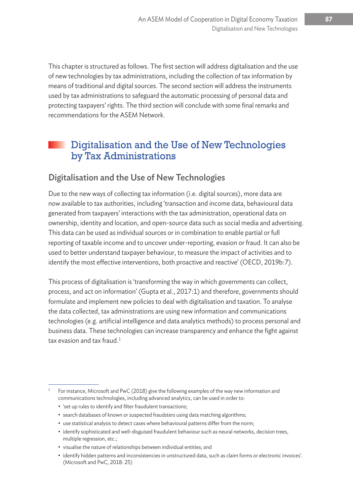This chapter is structured as follows. The first section will address digitalisation and the use of new technologies by tax administrations, including the collection of tax information by means of traditional and digital sources. The second section will address the instruments used by tax administrations to safeguard the automatic processing of personal data and protecting taxpayers' rights. The third section will conclude with some final remarks and recommendations for the ASEM Network.

# Digitalisation and the Use of New Technologies by Tax Administrations

#### Digitalisation and the Use of New Technologies

Due to the new ways of collecting tax information (i.e. digital sources), more data are now available to tax authorities, including 'transaction and income data, behavioural data generated from taxpayers' interactions with the tax administration, operational data on ownership, identity and location, and open-source data such as social media and advertising. This data can be used as individual sources or in combination to enable partial or full reporting of taxable income and to uncover under-reporting, evasion or fraud. It can also be used to better understand taxpayer behaviour, to measure the impact of activities and to identify the most effective interventions, both proactive and reactive' (OECD, 2019b:7).

This process of digitalisation is 'transforming the way in which governments can collect, process, and act on information' (Gupta et al., 2017:1) and therefore, governments should formulate and implement new policies to deal with digitalisation and taxation. To analyse the data collected, tax administrations are using new information and communications technologies (e.g. artificial intelligence and data analytics methods) to process personal and business data. These technologies can increase transparency and enhance the fight against tax evasion and tax fraud. $1$ 

<sup>&</sup>lt;sup>1</sup> For instance, Microsoft and PwC (2018) give the following examples of the way new information and communications technologies, including advanced analytics, can be used in order to:

<sup>• &#</sup>x27;set up rules to identify and filter fraudulent transactions;

<sup>•</sup> search databases of known or suspected fraudsters using data matching algorithms;

<sup>•</sup> use statistical analysis to detect cases where behavioural patterns differ from the norm;

<sup>•</sup> identify sophisticated and well-disguised fraudulent behaviour such as neural networks, decision trees, multiple regression, etc.;

<sup>•</sup> visualise the nature of relationships between individual entities; and

<sup>•</sup> identify hidden patterns and inconsistencies in unstructured data, such as claim forms or electronic invoices'. (Microsoft and PwC, 2018: 25)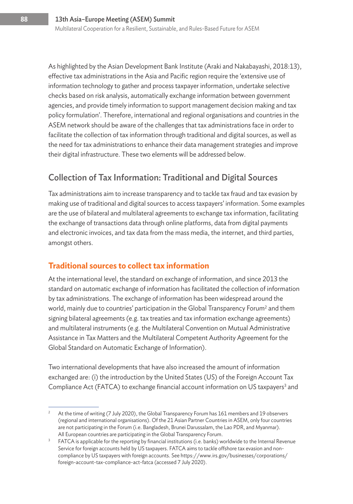As highlighted by the Asian Development Bank Institute (Araki and Nakabayashi, 2018:13), effective tax administrations in the Asia and Pacific region require the 'extensive use of information technology to gather and process taxpayer information, undertake selective checks based on risk analysis, automatically exchange information between government agencies, and provide timely information to support management decision making and tax policy formulation'. Therefore, international and regional organisations and countries in the ASEM network should be aware of the challenges that tax administrations face in order to facilitate the collection of tax information through traditional and digital sources, as well as the need for tax administrations to enhance their data management strategies and improve their digital infrastructure. These two elements will be addressed below.

## Collection of Tax Information: Traditional and Digital Sources

Tax administrations aim to increase transparency and to tackle tax fraud and tax evasion by making use of traditional and digital sources to access taxpayers' information. Some examples are the use of bilateral and multilateral agreements to exchange tax information, facilitating the exchange of transactions data through online platforms, data from digital payments and electronic invoices, and tax data from the mass media, the internet, and third parties, amongst others.

#### **Traditional sources to collect tax information**

At the international level, the standard on exchange of information, and since 2013 the standard on automatic exchange of information has facilitated the collection of information by tax administrations. The exchange of information has been widespread around the world, mainly due to countries' participation in the Global Transparency Forum $^2$  and them signing bilateral agreements (e.g. tax treaties and tax information exchange agreements) and multilateral instruments (e.g. the Multilateral Convention on Mutual Administrative Assistance in Tax Matters and the Multilateral Competent Authority Agreement for the Global Standard on Automatic Exchange of Information).

Two international developments that have also increased the amount of information exchanged are: (i) the introduction by the United States (US) of the Foreign Account Tax Compliance Act (FATCA) to exchange financial account information on US taxpayers<sup>3</sup> and

<sup>2</sup> At the time of writing (7 July 2020), the Global Transparency Forum has 161 members and 19 observers (regional and international organisations). Of the 21 Asian Partner Countries in ASEM, only four countries are not participating in the Forum (i.e. Bangladesh, Brunei Darussalam, the Lao PDR, and Myanmar).

All European countries are participating in the Global Transparency Forum.<br><sup>3</sup> FATCA is applicable for the reporting by financial institutions (i.e. banks) worldwide to the Internal Revenue Service for foreign accounts held by US taxpayers. FATCA aims to tackle offshore tax evasion and noncompliance by US taxpayers with foreign accounts. See https://www.irs.gov/businesses/corporations/ foreign-account-tax-compliance-act-fatca (accessed 7 July 2020).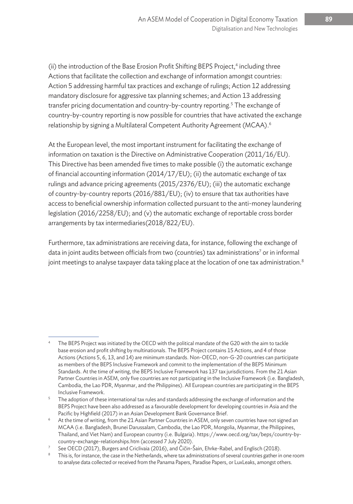(ii) the introduction of the Base Erosion Profit Shifting BEPS Project,<sup>4</sup> including three Actions that facilitate the collection and exchange of information amongst countries: Action 5 addressing harmful tax practices and exchange of rulings; Action 12 addressing mandatory disclosure for aggressive tax planning schemes; and Action 13 addressing transfer pricing documentation and country-by-country reporting.<sup>5</sup> The exchange of country-by-country reporting is now possible for countries that have activated the exchange relationship by signing a Multilateral Competent Authority Agreement (MCAA).<sup>6</sup>

At the European level, the most important instrument for facilitating the exchange of information on taxation is the Directive on Administrative Cooperation (2011/16/EU). This Directive has been amended five times to make possible (i) the automatic exchange of financial accounting information (2014/17/EU); (ii) the automatic exchange of tax rulings and advance pricing agreements (2015/2376/EU); (iii) the automatic exchange of country-by-country reports (2016/881/EU); (iv) to ensure that tax authorities have access to beneficial ownership information collected pursuant to the anti-money laundering legislation (2016/2258/EU); and (v) the automatic exchange of reportable cross border arrangements by tax intermediaries(2018/822/EU).

Furthermore, tax administrations are receiving data, for instance, following the exchange of data in joint audits between officials from two (countries) tax administrations<sup>7</sup> or in informal joint meetings to analyse taxpayer data taking place at the location of one tax administration.<sup>8</sup>

The BEPS Project was initiated by the OECD with the political mandate of the G20 with the aim to tackle base erosion and profit shifting by multinationals. The BEPS Project contains 15 Actions, and 4 of those Actions (Actions 5, 6, 13, and 14) are minimum standards. Non-OECD, non-G-20 countries can participate as members of the BEPS Inclusive Framework and commit to the implementation of the BEPS Minimum Standards. At the time of writing, the BEPS Inclusive Framework has 137 tax jurisdictions. From the 21 Asian Partner Countries in ASEM, only five countries are not participating in the Inclusive Framework (i.e. Bangladesh, Cambodia, the Lao PDR, Myanmar, and the Philippines). All European countries are participating in the BEPS

Inclusive Framework.<br>The adoption of these international tax rules and standards addressing the exchange of information and the BEPS Project have been also addressed as a favourable development for developing countries in Asia and the Pacific by Highfield (2017) in an Asian Development Bank Governance Brief.

<sup>6</sup> At the time of writing, from the 21 Asian Partner Countries in ASEM, only seven countries have not signed an MCAA (i.e. Bangladesh, Brunei Darussalam, Cambodia, the Lao PDR, Mongolia, Myanmar, the Philippines, Thailand, and Viet Nam) and European country (i.e. Bulgaria). https://www.oecd.org/tax/beps/country-bycountry-exchange-relationships.htm (accessed 7 July 2020).

 $^7$  See OECD (2017), Burgers and Criclivaia (2016), and Čičin-Šain, Ehrke-Rabel, and Englisch (2018).<br>8 This is, for instance, the case in the Netherlands, where tax administrations of several countries gather in one roo

to analyse data collected or received from the Panama Papers, Paradise Papers, or LuxLeaks, amongst others.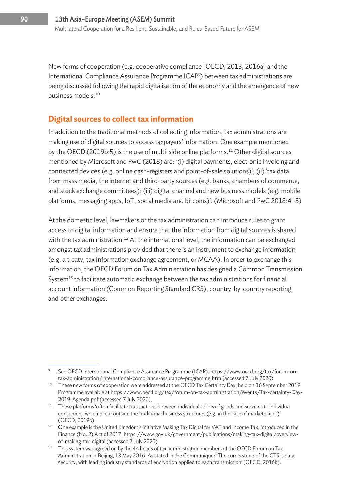New forms of cooperation (e.g. cooperative compliance [OECD, 2013, 2016a] andthe International Compliance Assurance Programme ICAP9 ) between tax administrations are being discussed following the rapid digitalisation of the economy and the emergence of new business models.<sup>10</sup>

#### **Digital sources to collect tax information**

In addition to the traditional methods of collecting information, tax administrations are making use of digital sources to access taxpayers' information. One example mentioned by the OECD (2019b:5) is the use of multi-side online platforms.<sup>11</sup> Other digital sources mentioned by Microsoft and PwC (2018) are: '(i) digital payments, electronic invoicing and connected devices (e.g. online cash-registers and point-of-sale solutions)'; (ii) 'tax data from mass media, the internet and third-party sources (e.g. banks, chambers of commerce, and stock exchange committees); (iii) digital channel and new business models (e.g. mobile platforms, messaging apps, IoT, social media and bitcoins)'. (Microsoft and PwC 2018:4–5)

At the domestic level, lawmakers or the tax administration can introduce rules to grant access to digital information and ensure that the information from digital sources is shared with the tax administration.<sup>12</sup> At the international level, the information can be exchanged amongst tax administrations provided that there is an instrument to exchange information (e.g. a treaty, tax information exchange agreement, or MCAA). In order to exchange this information, the OECD Forum on Tax Administration has designed a Common Transmission System $13$  to facilitate automatic exchange between the tax administrations for financial account information (Common Reporting Standard CRS), country-by-country reporting, and other exchanges.

<sup>9</sup> See OECD International Compliance Assurance Programme (ICAP). https://www.oecd.org/tax/forum-ontax-administration/international-compliance-assurance-programme.htm (accessed 7 July 2020).

<sup>&</sup>lt;sup>10</sup> These new forms of cooperation were addressed at the OECD Tax Certainty Day, held on 16 September 2019. Programme available at https://www.oecd.org/tax/forum-on-tax-administration/events/Tax-certainty-Day-2019-Agenda.pdf (accessed 7 July 2020).

 $11$  These platforms 'often facilitate transactions between individual sellers of goods and services to individual consumers, which occur outside the traditional business structures (e.g. in the case of marketplaces)'

<sup>(</sup>OECD, 2019b). 12 One example is the United Kingdom's initiative Making Tax Digital for VAT and Income Tax, introduced in the Finance (No. 2) Act of 2017. https://www.gov.uk/government/publications/making-tax-digital/overviewof-making-tax-digital (accessed 7 July 2020).

<sup>&</sup>lt;sup>13</sup> This system was agreed on by the 44 heads of tax administration members of the OECD Forum on Tax Administration in Beijing, 13 May 2016. As stated in the Communique: 'The cornerstone of the CTS is data security, with leading industry standards of encryption applied to each transmission' (OECD, 2016b).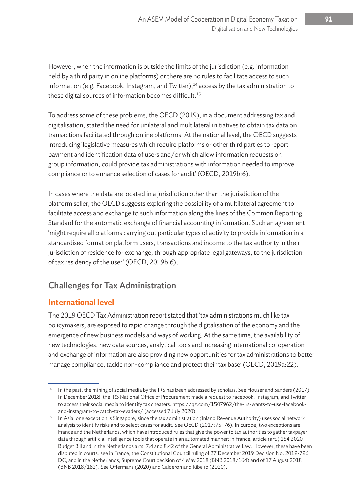However, when the information is outside the limits of the jurisdiction (e.g. information held by a third party in online platforms) or there are no rules to facilitate access to such information (e.g. Facebook, Instagram, and Twitter), $14$  access by the tax administration to these digital sources of information becomes difficult.<sup>15</sup>

To address some of these problems, the OECD (2019), in a document addressing tax and digitalisation, stated the need for unilateral and multilateral initiatives to obtain tax data on transactions facilitated through online platforms. At the national level, the OECD suggests introducing 'legislative measures which require platforms or other third parties to report payment and identification data of users and/or which allow information requests on group information, could provide tax administrations with information needed to improve compliance or to enhance selection of cases for audit' (OECD, 2019b:6).

In cases where the data are located in a jurisdiction other than the jurisdiction of the platform seller, the OECD suggests exploring the possibility of a multilateral agreement to facilitate access and exchange to such information along the lines of the Common Reporting Standard for the automatic exchange of financial accounting information. Such an agreement 'might require all platforms carrying out particular types of activity to provide information in a standardised format on platform users, transactions and income to the tax authority in their jurisdiction of residence for exchange, through appropriate legal gateways, to the jurisdiction of tax residency of the user' (OECD, 2019b:6).

# Challenges for Tax Administration

#### **International level**

The 2019 OECD Tax Administration report stated that 'tax administrations much like tax policymakers, are exposed to rapid change through the digitalisation of the economy and the emergence of new business models and ways of working. At the same time, the availability of new technologies, new data sources, analytical tools and increasing international co-operation and exchange of information are also providing new opportunities for tax administrations to better manage compliance, tackle non-compliance and protect their tax base' (OECD, 2019a:22).

In the past, the mining of social media by the IRS has been addressed by scholars. See Houser and Sanders (2017). In December 2018, the IRS National Office of Procurement made a request to Facebook, Instagram, and Twitter to access their social media to identify tax cheaters. https://qz.com/1507962/the-irs-wants-to-use-facebookand-instagram-to-catch-tax-evaders/ (accessed 7 July 2020).

<sup>&</sup>lt;sup>15</sup> In Asia, one exception is Singapore, since the tax administration (Inland Revenue Authority) uses social network analysis to identify risks and to select cases for audit. See OECD (2017:75–76). In Europe, two exceptions are France and the Netherlands, which have introduced rules that give the power to tax authorities to gather taxpayer data through artificial intelligence tools that operate in an automated manner: in France, article (art.) 154 2020 Budget Bill and in the Netherlands arts. 7:4 and 8:42 of the General Administrative Law. However, these have been disputed in courts: see in France, the Constitutional Council ruling of 27 December 2019 Decision No. 2019-796 DC, and in the Netherlands, Supreme Court decision of 4 May 2018 (BNB 2018/164) and of 17 August 2018 (BNB 2018/182). See Offermans (2020) and Calderon and Ribeiro (2020).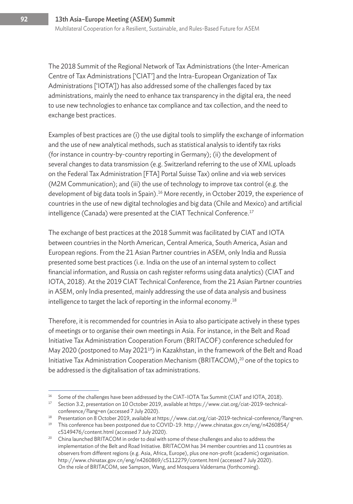The 2018 Summit of the Regional Network of Tax Administrations (the Inter-American Centre of Tax Administrations ['CIAT'] and the Intra-European Organization of Tax Administrations ['IOTA']) has also addressed some of the challenges faced by tax administrations, mainly the need to enhance tax transparency in the digital era, the need to use new technologies to enhance tax compliance and tax collection, and the need to exchange best practices.

Examples of best practices are (i) the use digital tools to simplify the exchange of information and the use of new analytical methods, such as statistical analysis to identify tax risks (for instance in country-by-country reporting in Germany); (ii) the development of several changes to data transmission (e.g. Switzerland referring to the use of XML uploads on the Federal Tax Administration [FTA] Portal Suisse Tax) online and via web services (M2M Communication); and (iii) the use of technology to improve tax control (e.g. the development of big data tools in Spain).<sup>16</sup> More recently, in October 2019, the experience of countries in the use of new digital technologies and big data (Chile and Mexico) and artificial intelligence (Canada) were presented at the CIAT Technical Conference.<sup>17</sup>

The exchange of best practices at the 2018 Summit was facilitated by CIAT and IOTA between countries in the North American, Central America, South America, Asian and European regions. From the 21 Asian Partner countries in ASEM, only India and Russia presented some best practices (i.e. India on the use of an internal system to collect financial information, and Russia on cash register reforms using data analytics) (CIAT and IOTA, 2018). At the 2019 CIAT Technical Conference, from the 21 Asian Partner countries in ASEM, only India presented, mainly addressing the use of data analysis and business intelligence to target the lack of reporting in the informal economy.<sup>18</sup>

Therefore, it is recommended for countries in Asia to also participate actively in these types of meetings or to organise their own meetings in Asia. For instance, in the Belt and Road Initiative Tax Administration Cooperation Forum (BRITACOF) conference scheduled for May 2020 (postponed to May 2021<sup>19</sup>) in Kazakhstan, in the framework of the Belt and Road Initiative Tax Administration Cooperation Mechanism (BRITACOM), $^{20}$  one of the topics to be addressed is the digitalisation of tax administrations.

<sup>&</sup>lt;sup>16</sup> Some of the challenges have been addressed by the CIAT-IOTA Tax Summit (CIAT and IOTA, 2018).

<sup>&</sup>lt;sup>17</sup> Section 3.2, presentation on 10 October 2019, available at https://www.ciat.org/ciat-2019-technicalconference/?lang=en (accessed 7 July 2020).

<sup>&</sup>lt;sup>18</sup> Presentation on 8 October 2019, available at https://www.ciat.org/ciat-2019-technical-conference/?lang=en.

<sup>19</sup> This conference has been postponed due to COVID-19. http://www.chinatax.gov.cn/eng/n4260854/ c5149476/content.html (accessed 7 July 2020).

<sup>&</sup>lt;sup>20</sup> China launched BRITACOM in order to deal with some of these challenges and also to address the implementation of the Belt and Road Initiative. BRITACOM has 34 member countries and 11 countries as observers from different regions (e.g. Asia, Africa, Europe), plus one non-profit (academic) organisation. http://www.chinatax.gov.cn/eng/n4260869/c5112279/content.html (accessed 7 July 2020). On the role of BRITACOM, see Sampson, Wang, and Mosquera Valderrama (forthcoming).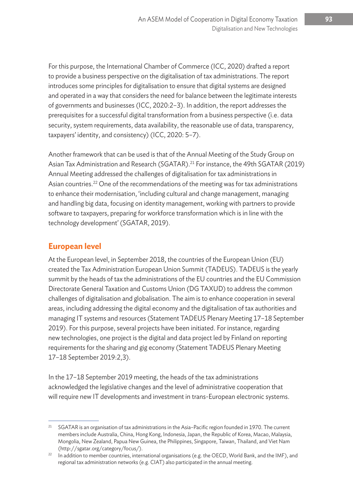For this purpose, the International Chamber of Commerce (ICC, 2020) drafted a report to provide a business perspective on the digitalisation of tax administrations. The report introduces some principles for digitalisation to ensure that digital systems are designed and operated in a way that considers the need for balance between the legitimate interests of governments and businesses (ICC, 2020:2–3). In addition, the report addresses the prerequisites for a successful digital transformation from a business perspective (i.e. data security, system requirements, data availability, the reasonable use of data, transparency, taxpayers' identity, and consistency) (ICC, 2020: 5–7).

Another framework that can be used is that of the Annual Meeting of the Study Group on Asian Tax Administration and Research (SGATAR).<sup>21</sup> For instance, the 49th SGATAR (2019) Annual Meeting addressed the challenges of digitalisation for tax administrations in Asian countries.<sup>22</sup> One of the recommendations of the meeting was for tax administrations to enhance their modernisation, 'including cultural and change management, managing and handling big data, focusing on identity management, working with partners to provide software to taxpayers, preparing for workforce transformation which is in line with the technology development' (SGATAR, 2019).

#### **European level**

At the European level, in September 2018, the countries of the European Union (EU) created the Tax Administration European Union Summit (TADEUS). TADEUS is the yearly summit by the heads of tax the administrations of the EU countries and the EU Commission Directorate General Taxation and Customs Union (DG TAXUD) to address the common challenges of digitalisation and globalisation. The aim is to enhance cooperation in several areas, including addressing the digital economy and the digitalisation of tax authorities and managing IT systems and resources (Statement TADEUS Plenary Meeting 17–18 September 2019). For this purpose, several projects have been initiated. For instance, regarding new technologies, one project is the digital and data project led by Finland on reporting requirements for the sharing and gig economy (Statement TADEUS Plenary Meeting 17–18 September 2019:2,3).

In the 17–18 September 2019 meeting, the heads of the tax administrations acknowledged the legislative changes and the level of administrative cooperation that will require new IT developments and investment in trans-European electronic systems.

<sup>&</sup>lt;sup>21</sup> SGATAR is an organisation of tax administrations in the Asia-Pacific region founded in 1970. The current members include Australia, China, Hong Kong, Indonesia, Japan, the Republic of Korea, Macao, Malaysia, Mongolia, New Zealand, Papua New Guinea, the Philippines, Singapore, Taiwan, Thailand, and Viet Nam (http://sgatar.org/category/focus/).

<sup>&</sup>lt;sup>22</sup> In addition to member countries, international organisations (e.g. the OECD, World Bank, and the IMF), and regional tax administration networks (e.g. CIAT) also participated in the annual meeting.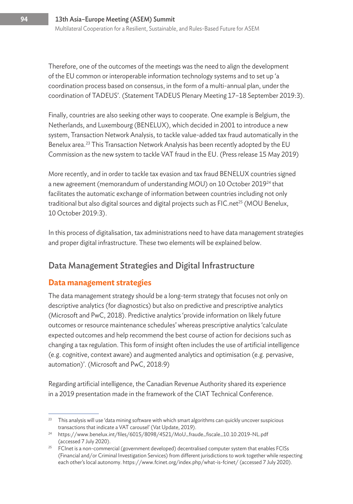Therefore, one of the outcomes of the meetings was the need to align the development of the EU common or interoperable information technology systems and to set up 'a coordination process based on consensus, in the form of a multi-annual plan, under the coordination of TADEUS'. (Statement TADEUS Plenary Meeting 17–18 September 2019:3).

Finally, countries are also seeking other ways to cooperate. One example is Belgium, the Netherlands, and Luxembourg (BENELUX), which decided in 2001 to introduce a new system, Transaction Network Analysis, to tackle value-added tax fraud automatically in the Benelux area.<sup>23</sup> This Transaction Network Analysis has been recently adopted by the EU Commission as the new system to tackle VAT fraud in the EU. (Press release 15 May 2019)

More recently, and in order to tackle tax evasion and tax fraud BENELUX countries signed a new agreement (memorandum of understanding MOU) on 10 October 2019<sup>24</sup> that facilitates the automatic exchange of information between countries including not only traditional but also digital sources and digital projects such as FIC.net<sup>25</sup> (MOU Benelux, 10 October 2019:3).

In this process of digitalisation, tax administrations need to have data management strategies and proper digital infrastructure. These two elements will be explained below.

# Data Management Strategies and Digital Infrastructure

#### **Data management strategies**

The data management strategy should be a long-term strategy that focuses not only on descriptive analytics (for diagnostics) but also on predictive and prescriptive analytics (Microsoft and PwC, 2018). Predictive analytics 'provide information on likely future outcomes or resource maintenance schedules' whereas prescriptive analytics 'calculate expected outcomes and help recommend the best course of action for decisions such as changing a tax regulation. This form of insight often includes the use of artificial intelligence (e.g. cognitive, context aware) and augmented analytics and optimisation (e.g. pervasive, automation)'. (Microsoft and PwC, 2018:9)

Regarding artificial intelligence, the Canadian Revenue Authority shared its experience in a 2019 presentation made in the framework of the CIAT Technical Conference.

 $23$  This analysis will use 'data mining software with which smart algorithms can quickly uncover suspicious transactions that indicate a VAT carousel' (Vat Update, 2019).

<sup>24</sup> https://www.benelux.int/files/6015/8098/4521/MoU\_fraude\_fiscale\_10.10.2019-NL.pdf (accessed 7 July 2020).

 $25$  FCInet is a non-commercial (government developed) decentralised computer system that enables FCISs (Financial and/or Criminal Investigation Services) from different jurisdictions to work together while respecting each other's local autonomy. https://www.fcinet.org/index.php/what-is-fcinet/ (accessed 7 July 2020).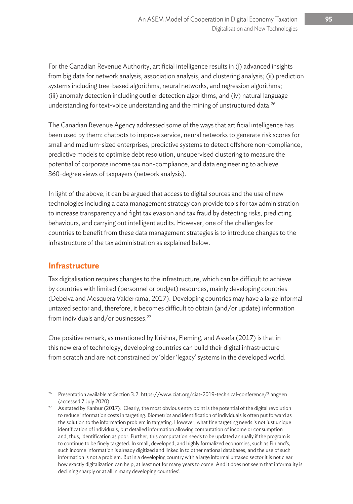For the Canadian Revenue Authority, artificial intelligence results in (i) advanced insights from big data for network analysis, association analysis, and clustering analysis; (ii) prediction systems including tree-based algorithms, neural networks, and regression algorithms; (iii) anomaly detection including outlier detection algorithms, and (iv) natural language understanding for text-voice understanding and the mining of unstructured data.<sup>26</sup>

The Canadian Revenue Agency addressed some of the ways that artificial intelligence has been used by them: chatbots to improve service, neural networks to generate risk scores for small and medium-sized enterprises, predictive systems to detect offshore non-compliance, predictive models to optimise debt resolution, unsupervised clustering to measure the potential of corporate income tax non-compliance, and data engineering to achieve 360-degree views of taxpayers (network analysis).

In light of the above, it can be argued that access to digital sources and the use of new technologies including a data management strategy can provide tools for tax administration to increase transparency and fight tax evasion and tax fraud by detecting risks, predicting behaviours, and carrying out intelligent audits. However, one of the challenges for countries to benefit from these data management strategies is to introduce changes to the infrastructure of the tax administration as explained below.

#### **Infrastructure**

Tax digitalisation requires changes to the infrastructure, which can be difficult to achieve by countries with limited (personnel or budget) resources, mainly developing countries (Debelva and Mosquera Valderrama, 2017). Developing countries may have a large informal untaxed sector and, therefore, it becomes difficult to obtain (and/or update) information from individuals and/or businesses.27

One positive remark, as mentioned by Krishna, Fleming, and Assefa (2017) is that in this new era of technology, developing countries can build their digital infrastructure from scratch and are not constrained by 'older 'legacy' systems in the developed world.

<sup>26</sup> Presentation available at Section 3.2. https://www.ciat.org/ciat-2019-technical-conference/?lang=en (accessed 7 July 2020).

 $27$  As stated by Kanbur (2017): 'Clearly, the most obvious entry point is the potential of the digital revolution to reduce information costs in targeting. Biometrics and identification of individuals is often put forward as the solution to the information problem in targeting. However, what fine targeting needs is not just unique identification of individuals, but detailed information allowing computation of income or consumption and, thus, identification as poor. Further, this computation needs to be updated annually if the program is to continue to be finely targeted. In small, developed, and highly formalized economies, such as Finland's, such income information is already digitized and linked in to other national databases, and the use of such information is not a problem. But in a developing country with a large informal untaxed sector it is not clear how exactly digitalization can help, at least not for many years to come. And it does not seem that informality is declining sharply or at all in many developing countries'.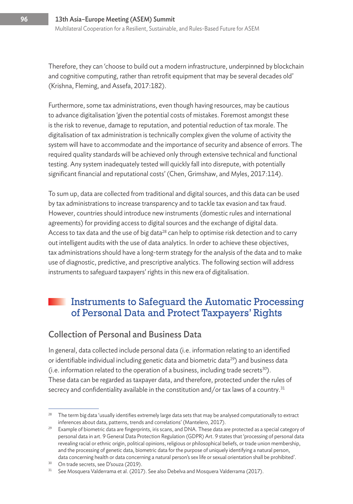Therefore, they can 'choose to build out a modern infrastructure, underpinned by blockchain and cognitive computing, rather than retrofit equipment that may be several decades old' (Krishna, Fleming, and Assefa, 2017:182).

Furthermore, some tax administrations, even though having resources, may be cautious to advance digitalisation 'given the potential costs of mistakes. Foremost amongst these is the risk to revenue, damage to reputation, and potential reduction of tax morale. The digitalisation of tax administration is technically complex given the volume of activity the system will have to accommodate and the importance of security and absence of errors. The required quality standards will be achieved only through extensive technical and functional testing. Any system inadequately tested will quickly fall into disrepute, with potentially significant financial and reputational costs' (Chen, Grimshaw, and Myles, 2017:114).

To sum up, data are collected from traditional and digital sources, and this data can be used by tax administrations to increase transparency and to tackle tax evasion and tax fraud. However, countries should introduce new instruments (domestic rules and international agreements) for providing access to digital sources and the exchange of digital data. Access to tax data and the use of big data<sup>28</sup> can help to optimise risk detection and to carry out intelligent audits with the use of data analytics. In order to achieve these objectives, tax administrations should have a long-term strategy for the analysis of the data and to make use of diagnostic, predictive, and prescriptive analytics. The following section will address instruments to safeguard taxpayers' rights in this new era of digitalisation.

# Instruments to Safeguard the Automatic Processing of Personal Data and Protect Taxpayers' Rights

#### Collection of Personal and Business Data

In general, data collected include personal data (i.e. information relating to an identified or identifiable individual including genetic data and biometric data<sup>29</sup>) and business data (i.e. information related to the operation of a business, including trade secrets<sup>30</sup>). These data can be regarded as taxpayer data, and therefore, protected under the rules of secrecy and confidentiality available in the constitution and/or tax laws of a country.<sup>31</sup>

<sup>28</sup> The term big data 'usually identifies extremely large data sets that may be analysed computationally to extract inferences about data, patterns, trends and correlations' (Mantelero, 2017).

<sup>&</sup>lt;sup>29</sup> Example of biometric data are fingerprints, iris scans, and DNA. These data are protected as a special category of personal data in art. 9 General Data Protection Regulation (GDPR) Art. 9 states that 'processing of personal data revealing racial or ethnic origin, political opinions, religious or philosophical beliefs, or trade union membership, and the processing of genetic data, biometric data for the purpose of uniquely identifying a natural person, data concerning health or data concerning a natural person's sex life or sexual orientation shall be prohibited'.

<sup>30</sup> On trade secrets, see D'souza (2019).

<sup>&</sup>lt;sup>31</sup> See Mosquera Valderrama et al. (2017). See also Debelva and Mosquera Valderrama (2017).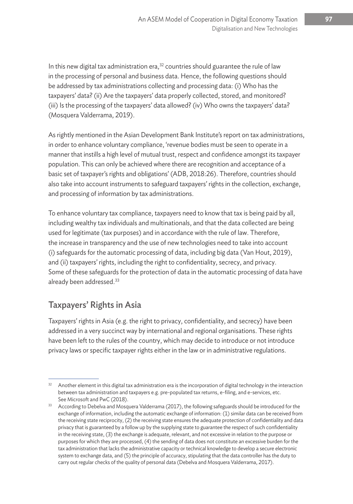In this new digital tax administration era,  $32$  countries should guarantee the rule of law in the processing of personal and business data. Hence, the following questions should be addressed by tax administrations collecting and processing data: (i) Who has the taxpayers' data? (ii) Are the taxpayers' data properly collected, stored, and monitored? (iii) Is the processing of the taxpayers' data allowed? (iv) Who owns the taxpayers' data? (Mosquera Valderrama, 2019).

As rightly mentioned in the Asian Development Bank Institute's report on tax administrations, in order to enhance voluntary compliance, 'revenue bodies must be seen to operate in a manner that instills a high level of mutual trust, respect and confidence amongst its taxpayer population. This can only be achieved where there are recognition and acceptance of a basic set of taxpayer's rights and obligations' (ADB, 2018:26). Therefore, countries should also take into account instruments to safeguard taxpayers' rights in the collection, exchange, and processing of information by tax administrations.

To enhance voluntary tax compliance, taxpayers need to know that tax is being paid by all, including wealthy tax individuals and multinationals, and that the data collected are being used for legitimate (tax purposes) and in accordance with the rule of law. Therefore, the increase in transparency and the use of new technologies need to take into account (i) safeguards for the automatic processing of data, including big data (Van Hout, 2019), and (ii) taxpayers' rights, including the right to confidentiality, secrecy, and privacy. Some of these safeguards for the protection of data in the automatic processing of data have already been addressed.<sup>33</sup>

# Taxpayers' Rights in Asia

Taxpayers' rights in Asia (e.g. the right to privacy, confidentiality, and secrecy) have been addressed in a very succinct way by international and regional organisations. These rights have been left to the rules of the country, which may decide to introduce or not introduce privacy laws or specific taxpayer rights either in the law or in administrative regulations.

 $32$  Another element in this digital tax administration era is the incorporation of digital technology in the interaction between tax administration and taxpayers e.g. pre-populated tax returns, e-filing, and e-services, etc. See Microsoft and PwC (2018).

<sup>&</sup>lt;sup>33</sup> According to Debelva and Mosquera Valderrama (2017), the following safeguards should be introduced for the exchange of information, including the automatic exchange of information: (1) similar data can be received from the receiving state reciprocity, (2) the receiving state ensures the adequate protection of confidentiality and data privacy that is guaranteed by a follow up by the supplying state to guarantee the respect of such confidentiality in the receiving state, (3) the exchange is adequate, relevant, and not excessive in relation to the purpose or purposes for which they are processed, (4) the sending of data does not constitute an excessive burden for the tax administration that lacks the administrative capacity or technical knowledge to develop a secure electronic system to exchange data, and (5) the principle of accuracy, stipulating that the data controller has the duty to carry out regular checks of the quality of personal data (Debelva and Mosquera Valderrama, 2017).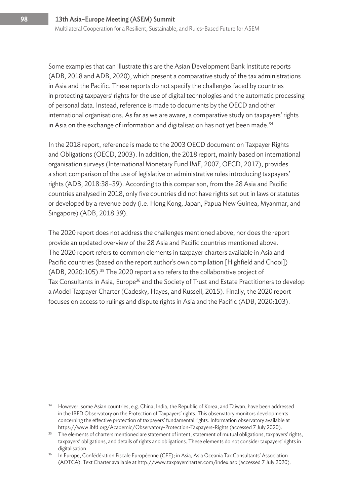Some examples that can illustrate this are the Asian Development Bank Institute reports (ADB, 2018 and ADB, 2020), which present a comparative study of the tax administrations in Asia and the Pacific. These reports do not specify the challenges faced by countries in protecting taxpayers' rights for the use of digital technologies and the automatic processing of personal data. Instead, reference is made to documents by the OECD and other international organisations. As far as we are aware, a comparative study on taxpayers' rights in Asia on the exchange of information and digitalisation has not yet been made.<sup>34</sup>

In the 2018 report, reference is made to the 2003 OECD document on Taxpayer Rights and Obligations (OECD, 2003). In addition, the 2018 report, mainly based on international organisation surveys (International Monetary Fund IMF, 2007; OECD, 2017), provides a short comparison of the use of legislative or administrative rules introducing taxpayers' rights (ADB, 2018:38–39). According to this comparison, from the 28 Asia and Pacific countries analysed in 2018, only five countries did not have rights set out in laws or statutes or developed by a revenue body (i.e. Hong Kong, Japan, Papua New Guinea, Myanmar, and Singapore) (ADB, 2018:39).

The 2020 report does not address the challenges mentioned above, nor does the report provide an updated overview of the 28 Asia and Pacific countries mentioned above. The 2020 report refers to common elements in taxpayer charters available in Asia and Pacific countries (based on the report author's own compilation [Highfield and Chooi]) (ADB, 2020:105).35 The 2020 report also refers to the collaborative project of Tax Consultants in Asia, Europe<sup>36</sup> and the Society of Trust and Estate Practitioners to develop a Model Taxpayer Charter (Cadesky, Hayes, and Russell, 2015). Finally, the 2020 report focuses on access to rulings and dispute rights in Asia and the Pacific (ADB, 2020:103).

<sup>&</sup>lt;sup>34</sup> However, some Asian countries, e.g. China, India, the Republic of Korea, and Taiwan, have been addressed in the IBFD Observatory on the Protection of Taxpayers' rights. This observatory monitors developments concerning the effective protection of taxpayers' fundamental rights. Information observatory available at https://www.ibfd.org/Academic/Observatory-Protection-Taxpayers-Rights (accessed 7 July 2020).

<sup>&</sup>lt;sup>35</sup> The elements of charters mentioned are statement of intent, statement of mutual obligations, taxpayers' rights, taxpayers' obligations, and details of rights and obligations. These elements do not consider taxpayers' rights in digitalisation. 36 In Europe, Confédération Fiscale Européenne (CFE); in Asia, Asia Oceania Tax Consultants' Association

<sup>(</sup>AOTCA). Text Charter available at http://www.taxpayercharter.com/index.asp (accessed 7 July 2020).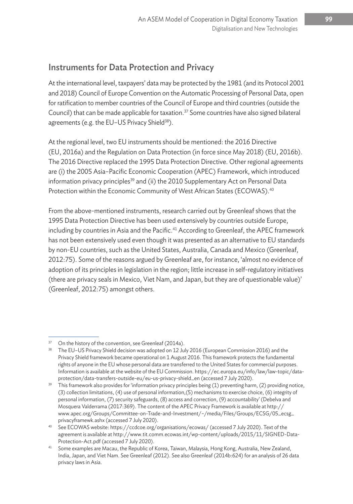# Instruments for Data Protection and Privacy

At the international level, taxpayers' data may be protected by the 1981 (and its Protocol 2001 and 2018) Council of Europe Convention on the Automatic Processing of Personal Data, open for ratification to member countries of the Council of Europe and third countries (outside the Council) that can be made applicable for taxation.<sup>37</sup> Some countries have also signed bilateral agreements (e.g. the EU-US Privacy Shield<sup>38</sup>).

At the regional level, two EU instruments should be mentioned: the 2016 Directive (EU, 2016a) and the Regulation on Data Protection (in force since May 2018) (EU, 2016b). The 2016 Directive replaced the 1995 Data Protection Directive. Other regional agreements are (i) the 2005 Asia–Pacific Economic Cooperation (APEC) Framework, which introduced information privacy principles<sup>39</sup> and (ii) the 2010 Supplementary Act on Personal Data Protection within the Economic Community of West African States (ECOWAS).<sup>40</sup>

From the above-mentioned instruments, research carried out by Greenleaf shows that the 1995 Data Protection Directive has been used extensively by countries outside Europe, including by countries in Asia and the Pacific.<sup>41</sup> According to Greenleaf, the APEC framework has not been extensively used even though it was presented as an alternative to EU standards by non-EU countries, such as the United States, Australia, Canada and Mexico (Greenleaf, 2012:75). Some of the reasons argued by Greenleaf are, for instance, 'almost no evidence of adoption of its principles in legislation in the region; little increase in self-regulatory initiatives (there are privacy seals in Mexico, Viet Nam, and Japan, but they are of questionable value)' (Greenleaf, 2012:75) amongst others.

 $37$  On the history of the convention, see Greenleaf (2014a).<br>38 The EU–US Privacy Shield decision was adopted on 12 July 2016 (European Commission 2016) and the Privacy Shield framework became operational on 1 August 2016. This framework protects the fundamental rights of anyone in the EU whose personal data are transferred to the United States for commercial purposes. Information is available at the website of the EU Commission. https://ec.europa.eu/info/law/law-topic/dataprotection/data-transfers-outside-eu/eu-us-privacy-shield\_en (accessed 7 July 2020).

 $39$  This framework also provides for 'information privacy principles being (1) preventing harm, (2) providing notice, (3) collection limitations, (4) use of personal information,(5) mechanisms to exercise choice, (6) integrity of personal information, (7) security safeguards, (8) access and correction, (9) accountability' (Debelva and Mosquera Valderrama (2017:369). The content of the APEC Privacy Framework is available at http:// www.apec.org/Groups/Committee-on-Trade-and-Investment/~/media/Files/Groups/ECSG/05\_ecsg\_ privacyframewk.ashx (accessed 7 July 2020).

See ECOWAS website: https://ccdcoe.org/organisations/ecowas/ (accessed 7 July 2020). Text of the agreement is available at http://www.tit.comm.ecowas.int/wp-content/uploads/2015/11/SIGNED-Data-Protection-Act.pdf (accessed 7 July 2020).

<sup>&</sup>lt;sup>41</sup> Some examples are Macau, the Republic of Korea, Taiwan, Malaysia, Hong Kong, Australia, New Zealand, India, Japan, and Viet Nam. See Greenleaf (2012). See also Greenleaf (2014b:624) for an analysis of 26 data privacy laws in Asia.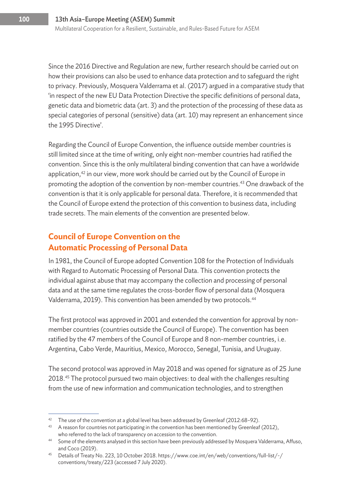Since the 2016 Directive and Regulation are new, further research should be carried out on how their provisions can also be used to enhance data protection and to safeguard the right to privacy. Previously, Mosquera Valderrama et al. (2017) argued in a comparative study that 'in respect of the new EU Data Protection Directive the specific definitions of personal data, genetic data and biometric data (art. 3) and the protection of the processing of these data as special categories of personal (sensitive) data (art. 10) may represent an enhancement since the 1995 Directive'.

Regarding the Council of Europe Convention, the influence outside member countries is still limited since at the time of writing, only eight non-member countries had ratified the convention. Since this is the only multilateral binding convention that can have a worldwide application, $42$  in our view, more work should be carried out by the Council of Europe in promoting the adoption of the convention by non-member countries.<sup>43</sup> One drawback of the convention is that it is only applicable for personal data. Therefore, it is recommended that the Council of Europe extend the protection of this convention to business data, including trade secrets. The main elements of the convention are presented below.

#### **Council of Europe Convention on the Automatic Processing of Personal Data**

In 1981, the Council of Europe adopted Convention 108 for the Protection of Individuals with Regard to Automatic Processing of Personal Data. This convention protects the individual against abuse that may accompany the collection and processing of personal data and at the same time regulates the cross-border flow of personal data (Mosquera Valderrama, 2019). This convention has been amended by two protocols.<sup>44</sup>

The first protocol was approved in 2001 and extended the convention for approval by nonmember countries (countries outside the Council of Europe). The convention has been ratified by the 47 members of the Council of Europe and 8 non-member countries, i.e. Argentina, Cabo Verde, Mauritius, Mexico, Morocco, Senegal, Tunisia, and Uruguay.

The second protocol was approved in May 2018 and was opened for signature as of 25 June 2018.<sup>45</sup> The protocol pursued two main objectives: to deal with the challenges resulting from the use of new information and communication technologies, and to strengthen

<sup>&</sup>lt;sup>42</sup> The use of the convention at a global level has been addressed by Greenleaf (2012:68-92).

<sup>&</sup>lt;sup>43</sup> A reason for countries not participating in the convention has been mentioned by Greenleaf (2012),

who referred to the lack of transparency on accession to the convention.<br>44 Some of the elements analysed in this section have been previously addressed by Mosquera Valderrama, Affuso, and Coco (2019). 45 Details of Treaty No. 223, 10 October 2018. https://www.coe.int/en/web/conventions/full-list/-/

conventions/treaty/223 (accessed 7 July 2020).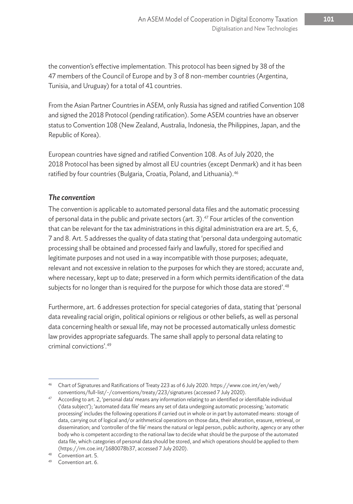the convention's effective implementation. This protocol has been signed by 38 of the 47 members of the Council of Europe and by 3 of 8 non-member countries (Argentina, Tunisia, and Uruguay) for a total of 41 countries.

From the Asian Partner Countries in ASEM, only Russia has signed and ratified Convention 108 and signed the 2018 Protocol (pending ratification). Some ASEM countries have an observer status to Convention 108 (New Zealand, Australia, Indonesia, the Philippines, Japan, and the Republic of Korea).

European countries have signed and ratified Convention 108. As of July 2020, the 2018 Protocol has been signed by almost all EU countries (except Denmark) and it has been ratified by four countries (Bulgaria, Croatia, Poland, and Lithuania).<sup>46</sup>

#### *The convention*

The convention is applicable to automated personal data files and the automatic processing of personal data in the public and private sectors (art. 3).<sup>47</sup> Four articles of the convention that can be relevant for the tax administrations in this digital administration era are art. 5, 6, 7 and 8. Art. 5 addresses the quality of data stating that 'personal data undergoing automatic processing shall be obtained and processed fairly and lawfully, stored for specified and legitimate purposes and not used in a way incompatible with those purposes; adequate, relevant and not excessive in relation to the purposes for which they are stored; accurate and, where necessary, kept up to date; preserved in a form which permits identification of the data subjects for no longer than is required for the purpose for which those data are stored'.<sup>48</sup>

Furthermore, art. 6 addresses protection for special categories of data, stating that 'personal data revealing racial origin, political opinions or religious or other beliefs, as well as personal data concerning health or sexual life, may not be processed automatically unless domestic law provides appropriate safeguards. The same shall apply to personal data relating to criminal convictions'.49

<sup>46</sup> Chart of Signatures and Ratifications of Treaty 223 as of 6 July 2020. https://www.coe.int/en/web/ conventions/full-list/-/conventions/treaty/223/signatures (accessed 7 July 2020).

<sup>&</sup>lt;sup>47</sup> According to art. 2, 'personal data' means any information relating to an identified or identifiable individual ('data subject'); 'automated data file' means any set of data undergoing automatic processing; 'automatic processing' includes the following operations if carried out in whole or in part by automated means: storage of data, carrying out of logical and/or arithmetical operations on those data, their alteration, erasure, retrieval, or dissemination; and 'controller of the file' means the natural or legal person, public authority, agency or any other body who is competent according to the national law to decide what should be the purpose of the automated data file, which categories of personal data should be stored, and which operations should be applied to them (https://rm.coe.int/1680078b37, accessed 7 July 2020).

<sup>48</sup> Convention art. 5.

<sup>49</sup> Convention art. 6.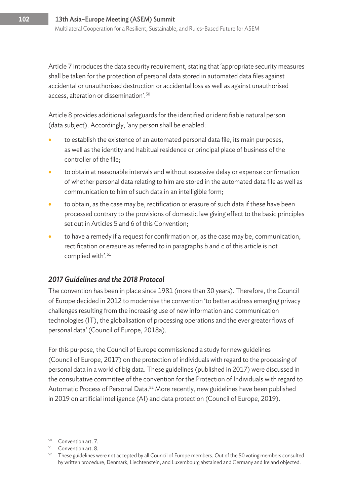Article 7 introduces the data security requirement, stating that 'appropriate security measures shall be taken for the protection of personal data stored in automated data files against accidental or unauthorised destruction or accidental loss as well as against unauthorised access, alteration or dissemination'.50

Article 8 provides additional safeguards for the identified or identifiable natural person (data subject). Accordingly, 'any person shall be enabled:

- to establish the existence of an automated personal data file, its main purposes, as well as the identity and habitual residence or principal place of business of the controller of the file;
- to obtain at reasonable intervals and without excessive delay or expense confirmation of whether personal data relating to him are stored in the automated data file as well as communication to him of such data in an intelligible form;
- to obtain, as the case may be, rectification or erasure of such data if these have been processed contrary to the provisions of domestic law giving effect to the basic principles set out in Articles 5 and 6 of this Convention;
- to have a remedy if a request for confirmation or, as the case may be, communication, rectification or erasure as referred to in paragraphs b and c of this article is not complied with'.<sup>51</sup>

#### *2017 Guidelines and the 2018 Protocol*

The convention has been in place since 1981 (more than 30 years). Therefore, the Council of Europe decided in 2012 to modernise the convention 'to better address emerging privacy challenges resulting from the increasing use of new information and communication technologies (IT), the globalisation of processing operations and the ever greater flows of personal data' (Council of Europe, 2018a).

For this purpose, the Council of Europe commissioned a study for new guidelines (Council of Europe, 2017) on the protection of individuals with regard to the processing of personal data in a world of big data. These guidelines (published in 2017) were discussed in the consultative committee of the convention for the Protection of Individuals with regard to Automatic Process of Personal Data.<sup>52</sup> More recently, new guidelines have been published in 2019 on artificial intelligence (AI) and data protection (Council of Europe, 2019).

<sup>50</sup> Convention art. 7.

<sup>51</sup> Convention art. 8.

 $52$  These guidelines were not accepted by all Council of Europe members. Out of the 50 voting members consulted by written procedure, Denmark, Liechtenstein, and Luxembourg abstained and Germany and Ireland objected.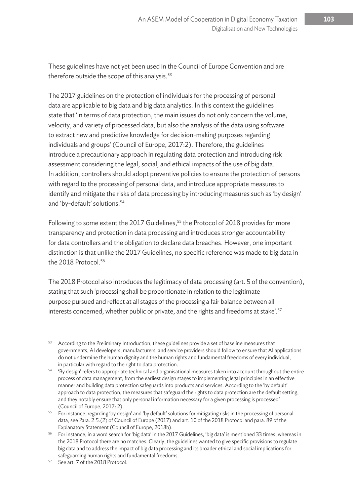These guidelines have not yet been used in the Council of Europe Convention and are therefore outside the scope of this analysis.<sup>53</sup>

The 2017 guidelines on the protection of individuals for the processing of personal data are applicable to big data and big data analytics. In this context the guidelines state that 'in terms of data protection, the main issues do not only concern the volume, velocity, and variety of processed data, but also the analysis of the data using software to extract new and predictive knowledge for decision-making purposes regarding individuals and groups' (Council of Europe, 2017:2). Therefore, the guidelines introduce a precautionary approach in regulating data protection and introducing risk assessment considering the legal, social, and ethical impacts of the use of big data. In addition, controllers should adopt preventive policies to ensure the protection of persons with regard to the processing of personal data, and introduce appropriate measures to identify and mitigate the risks of data processing by introducing measures such as 'by design' and 'by-default' solutions.54

Following to some extent the 2017 Guidelines,<sup>55</sup> the Protocol of 2018 provides for more transparency and protection in data processing and introduces stronger accountability for data controllers and the obligation to declare data breaches. However, one important distinction is that unlike the 2017 Guidelines, no specific reference was made to big data in the 2018 Protocol.<sup>56</sup>

The 2018 Protocol also introduces the legitimacy of data processing (art. 5 of the convention), stating that such 'processing shall be proportionate in relation to the legitimate purpose pursued and reflect at all stages of the processing a fair balance between all interests concerned, whether public or private, and the rights and freedoms at stake'.<sup>57</sup>

<sup>53</sup> According to the Preliminary Introduction, these guidelines provide a set of baseline measures that governments, AI developers, manufacturers, and service providers should follow to ensure that AI applications do not undermine the human dignity and the human rights and fundamental freedoms of every individual, in particular with regard to the right to data protection.

<sup>54</sup> 'By design' refers to appropriate technical and organisational measures taken into account throughout the entire process of data management, from the earliest design stages to implementing legal principles in an effective manner and building data protection safeguards into products and services. According to the 'by default' approach to data protection, the measures that safeguard the rights to data protection are the default setting, and they notably ensure that only personal information necessary for a given processing is processed' (Council of Europe, 2017: 2).

<sup>55</sup> For instance, regarding 'by design' and 'by default' solutions for mitigating risks in the processing of personal data, see Para. 2.5.(2) of Council of Europe (2017) and art. 10 of the 2018 Protocol and para. 89 of the Explanatory Statement (Council of Europe, 2018b).

<sup>&</sup>lt;sup>56</sup> For instance, in a word search for 'big data' in the 2017 Guidelines, 'big data' is mentioned 33 times, whereas in the 2018 Protocol there are no matches. Clearly, the guidelines wanted to give specific provisions to regulate big data and to address the impact of big data processing and its broader ethical and social implications for safeguarding human rights and fundamental freedoms.

<sup>57</sup> See art. 7 of the 2018 Protocol.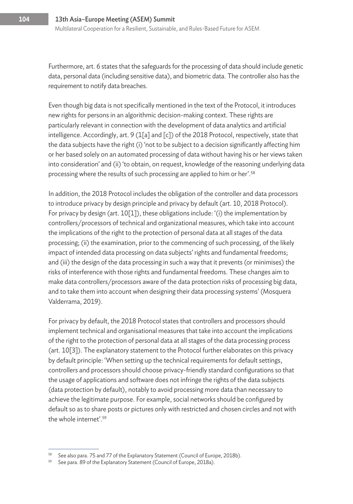Furthermore, art. 6 states that the safeguards for the processing of data should include genetic data, personal data (including sensitive data), and biometric data. The controller also has the requirement to notify data breaches.

Even though big data is not specifically mentioned in the text of the Protocol, it introduces new rights for persons in an algorithmic decision-making context. These rights are particularly relevant in connection with the development of data analytics and artificial intelligence. Accordingly, art. 9 (1[a] and [c]) of the 2018 Protocol, respectively, state that the data subjects have the right (i) 'not to be subject to a decision significantly affecting him or her based solely on an automated processing of data without having his or her views taken into consideration' and (ii) 'to obtain, on request, knowledge of the reasoning underlying data processing where the results of such processing are applied to him or her'.<sup>58</sup>

In addition, the 2018 Protocol includes the obligation of the controller and data processors to introduce privacy by design principle and privacy by default (art. 10, 2018 Protocol). For privacy by design (art. 10[1]), these obligations include: '(i) the implementation by controllers/processors of technical and organizational measures, which take into account the implications of the right to the protection of personal data at all stages of the data processing; (ii) the examination, prior to the commencing of such processing, of the likely impact of intended data processing on data subjects' rights and fundamental freedoms; and (iii) the design of the data processing in such a way that it prevents (or minimises) the risks of interference with those rights and fundamental freedoms. These changes aim to make data controllers/processors aware of the data protection risks of processing big data, and to take them into account when designing their data processing systems' (Mosquera Valderrama, 2019).

For privacy by default, the 2018 Protocol states that controllers and processors should implement technical and organisational measures that take into account the implications of the right to the protection of personal data at all stages of the data processing process (art. 10[3]). The explanatory statement to the Protocol further elaborates on this privacy by default principle: 'When setting up the technical requirements for default settings, controllers and processors should choose privacy-friendly standard configurations so that the usage of applications and software does not infringe the rights of the data subjects (data protection by default), notably to avoid processing more data than necessary to achieve the legitimate purpose. For example, social networks should be configured by default so as to share posts or pictures only with restricted and chosen circles and not with the whole internet'.59

See also para. 75 and 77 of the Explanatory Statement (Council of Europe, 2018b).

<sup>&</sup>lt;sup>59</sup> See para. 89 of the Explanatory Statement (Council of Europe, 2018a).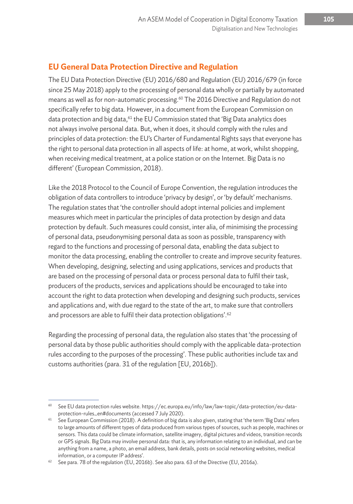# **EU General Data Protection Directive and Regulation**

The EU Data Protection Directive (EU) 2016/680 and Regulation (EU) 2016/679 (in force since 25 May 2018) apply to the processing of personal data wholly or partially by automated means as well as for non-automatic processing.<sup>60</sup> The 2016 Directive and Regulation do not specifically refer to big data. However, in a document from the European Commission on data protection and big data, <sup>61</sup> the EU Commission stated that 'Big Data analytics does not always involve personal data. But, when it does, it should comply with the rules and principles of data protection: the EU's Charter of Fundamental Rights says that everyone has the right to personal data protection in all aspects of life: at home, at work, whilst shopping, when receiving medical treatment, at a police station or on the Internet. Big Data is no different' (European Commission, 2018).

Like the 2018 Protocol to the Council of Europe Convention, the regulation introduces the obligation of data controllers to introduce 'privacy by design', or 'by default' mechanisms. The regulation states that 'the controller should adopt internal policies and implement measures which meet in particular the principles of data protection by design and data protection by default. Such measures could consist, inter alia, of minimising the processing of personal data, pseudonymising personal data as soon as possible, transparency with regard to the functions and processing of personal data, enabling the data subject to monitor the data processing, enabling the controller to create and improve security features. When developing, designing, selecting and using applications, services and products that are based on the processing of personal data or process personal data to fulfil their task, producers of the products, services and applications should be encouraged to take into account the right to data protection when developing and designing such products, services and applications and, with due regard to the state of the art, to make sure that controllers and processors are able to fulfil their data protection obligations'.<sup>62</sup>

Regarding the processing of personal data, the regulation also states that 'the processing of personal data by those public authorities should comply with the applicable data-protection rules according to the purposes of the processing'. These public authorities include tax and customs authorities (para. 31 of the regulation [EU, 2016b]).

<sup>60</sup> See EU data protection rules website. https://ec.europa.eu/info/law/law-topic/data-protection/eu-dataprotection-rules\_en#documents (accessed 7 July 2020).

 $61$  See European Commission (2018). A definition of big data is also given, stating that 'the term 'Big Data' refers to large amounts of different types of data produced from various types of sources, such as people, machines or sensors. This data could be climate information, satellite imagery, digital pictures and videos, transition records or GPS signals. Big Data may involve personal data: that is, any information relating to an individual, and can be anything from a name, a photo, an email address, bank details, posts on social networking websites, medical information, or a computer IP address'.<br><sup>62</sup> See para. 78 of the regulation (EU, 2016b). See also para. 63 of the Directive (EU, 2016a).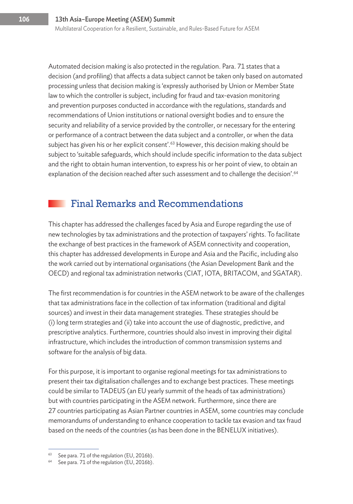Automated decision making is also protected in the regulation. Para. 71 states that a decision (and profiling) that affects a data subject cannot be taken only based on automated processing unless that decision making is 'expressly authorised by Union or Member State law to which the controller is subject, including for fraud and tax-evasion monitoring and prevention purposes conducted in accordance with the regulations, standards and recommendations of Union institutions or national oversight bodies and to ensure the security and reliability of a service provided by the controller, or necessary for the entering or performance of a contract between the data subject and a controller, or when the data subject has given his or her explicit consent'.<sup>63</sup> However, this decision making should be subject to 'suitable safeguards, which should include specific information to the data subject and the right to obtain human intervention, to express his or her point of view, to obtain an explanation of the decision reached after such assessment and to challenge the decision'.<sup>64</sup>

# Final Remarks and Recommendations

This chapter has addressed the challenges faced by Asia and Europe regarding the use of new technologies by tax administrations and the protection of taxpayers' rights. To facilitate the exchange of best practices in the framework of ASEM connectivity and cooperation, this chapter has addressed developments in Europe and Asia and the Pacific, including also the work carried out by international organisations (the Asian Development Bank and the OECD) and regional tax administration networks (CIAT, IOTA, BRITACOM, and SGATAR).

The first recommendation is for countries in the ASEM network to be aware of the challenges that tax administrations face in the collection of tax information (traditional and digital sources) and invest in their data management strategies. These strategies should be (i) long term strategies and (ii) take into account the use of diagnostic, predictive, and prescriptive analytics. Furthermore, countries should also invest in improving their digital infrastructure, which includes the introduction of common transmission systems and software for the analysis of big data.

For this purpose, it is important to organise regional meetings for tax administrations to present their tax digitalisation challenges and to exchange best practices. These meetings could be similar to TADEUS (an EU yearly summit of the heads of tax administrations) but with countries participating in the ASEM network. Furthermore, since there are 27 countries participating as Asian Partner countries in ASEM, some countries may conclude memorandums of understanding to enhance cooperation to tackle tax evasion and tax fraud based on the needs of the countries (as has been done in the BENELUX initiatives).

See para. 71 of the regulation (EU, 2016b).

<sup>&</sup>lt;sup>64</sup> See para. 71 of the regulation (EU, 2016b).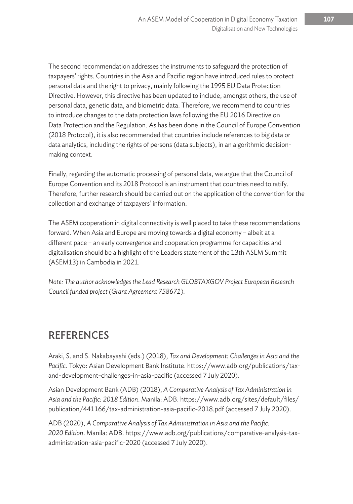The second recommendation addresses the instruments to safeguard the protection of taxpayers' rights. Countries in the Asia and Pacific region have introduced rules to protect personal data and the right to privacy, mainly following the 1995 EU Data Protection Directive. However, this directive has been updated to include, amongst others, the use of personal data, genetic data, and biometric data. Therefore, we recommend to countries to introduce changes to the data protection laws following the EU 2016 Directive on Data Protection and the Regulation. As has been done in the Council of Europe Convention (2018 Protocol), it is also recommended that countries include references to big data or data analytics, including the rights of persons (data subjects), in an algorithmic decisionmaking context.

Finally, regarding the automatic processing of personal data, we argue that the Council of Europe Convention and its 2018 Protocol is an instrument that countries need to ratify. Therefore, further research should be carried out on the application of the convention for the collection and exchange of taxpayers' information.

The ASEM cooperation in digital connectivity is well placed to take these recommendations forward. When Asia and Europe are moving towards a digital economy – albeit at a different pace – an early convergence and cooperation programme for capacities and digitalisation should be a highlight of the Leaders statement of the 13th ASEM Summit (ASEM13) in Cambodia in 2021.

*Note: The author acknowledges the Lead Research GLOBTAXGOV Project European Research Council funded project (Grant Agreement 758671).*

# REFERENCES

Araki, S. and S. Nakabayashi (eds.) (2018), *Tax and Development: Challenges in Asia and the Pacific*. Tokyo: Asian Development Bank Institute. https://www.adb.org/publications/taxand-development-challenges-in-asia-pacific (accessed 7 July 2020).

Asian Development Bank (ADB) (2018), *A Comparative Analysis of Tax Administration in Asia and the Pacific: 2018 Edition*. Manila: ADB. https://www.adb.org/sites/default/files/ publication/441166/tax-administration-asia-pacific-2018.pdf (accessed 7 July 2020).

ADB (2020), *A Comparative Analysis of Tax Administration in Asia and the Pacific: 2020 Edition*. Manila: ADB. https://www.adb.org/publications/comparative-analysis-taxadministration-asia-pacific-2020 (accessed 7 July 2020).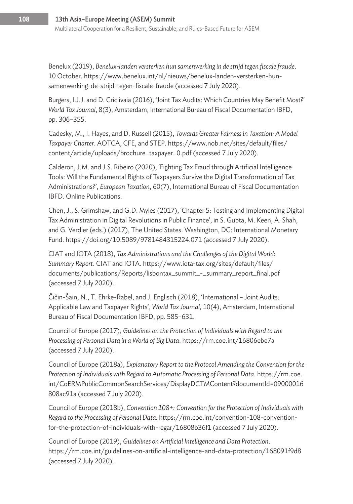Benelux (2019), *Benelux-landen versterken hun samenwerking in de strijd tegen fiscale fraude*. 10 October. https://www.benelux.int/nl/nieuws/benelux-landen-versterken-hunsamenwerking-de-strijd-tegen-fiscale-fraude (accessed 7 July 2020).

Burgers, I.J.J. and D. Criclivaia (2016), 'Joint Tax Audits: Which Countries May Benefit Most?' *World Tax Journal*, 8(3), Amsterdam, International Bureau of Fiscal Documentation IBFD, pp. 306–355.

Cadesky, M., I. Hayes, and D. Russell (2015), *Towards Greater Fairness in Taxation: A Model Taxpayer Charter*. AOTCA, CFE, and STEP. https://www.nob.net/sites/default/files/ content/article/uploads/brochure\_taxpayer\_0.pdf (accessed 7 July 2020).

Calderon, J.M. and J.S. Ribeiro (2020), 'Fighting Tax Fraud through Artificial Intelligence Tools: Will the Fundamental Rights of Taxpayers Survive the Digital Transformation of Tax Administrations?', *European Taxation*, 60(7), International Bureau of Fiscal Documentation IBFD. Online Publications.

Chen, J., S. Grimshaw, and G.D. Myles (2017), 'Chapter 5: Testing and Implementing Digital Tax Administration in Digital Revolutions in Public Finance', in S. Gupta, M. Keen, A. Shah, and G. Verdier (eds.) (2017), The United States. Washington, DC: International Monetary Fund. https://doi.org/10.5089/9781484315224.071 (accessed 7 July 2020).

CIAT and IOTA (2018), *Tax Administrations and the Challenges of the Digital World: Summary Report*. CIAT and IOTA. https://www.iota-tax.org/sites/default/files/ documents/publications/Reports/lisbontax\_summit\_-\_summary\_report\_final.pdf (accessed 7 July 2020).

Čičin-Šain, N., T. Ehrke-Rabel, and J. Englisch (2018), 'International – Joint Audits: Applicable Law and Taxpayer Rights', *World Tax Journal,* 10(4), Amsterdam, International Bureau of Fiscal Documentation IBFD, pp. 585–631.

Council of Europe (2017), *Guidelines on the Protection of Individuals with Regard to the Processing of Personal Data in a World of Big Data*. https://rm.coe.int/16806ebe7a (accessed 7 July 2020).

Council of Europe (2018a), *Explanatory Report to the Protocol Amending the Convention for the Protection of Individuals with Regard to Automatic Processing of Personal Data*. https://rm.coe. int/CoERMPublicCommonSearchServices/DisplayDCTMContent?documentId=09000016 808ac91a (accessed 7 July 2020).

Council of Europe (2018b), *Convention 108+: Convention for the Protection of Individuals with Regard to the Processing of Personal Data.* https://rm.coe.int/convention-108-conventionfor-the-protection-of-individuals-with-regar/16808b36f1 (accessed 7 July 2020).

Council of Europe (2019), *Guidelines on Artificial Intelligence and Data Protection*. https://rm.coe.int/guidelines-on-artificial-intelligence-and-data-protection/168091f9d8 (accessed 7 July 2020).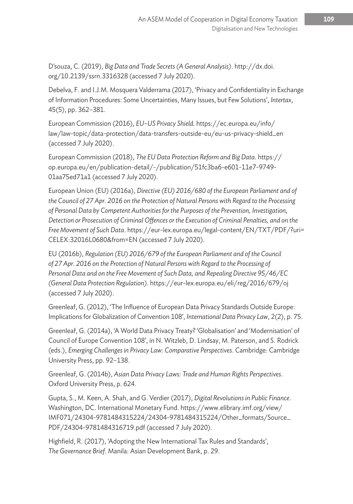D'souza, C. (2019), *Big Data and Trade Secrets (A General Analysis)*. http://dx.doi. org/10.2139/ssrn.3316328 (accessed 7 July 2020).

Debelva, F. and I.J.M. Mosquera Valderrama (2017), 'Privacy and Confidentiality in Exchange of Information Procedures: Some Uncertainties, Many Issues, but Few Solutions', *Intertax*, 45(5), pp. 362–381.

European Commission (2016), *EU–US Privacy Shield.* https://ec.europa.eu/info/ law/law-topic/data-protection/data-transfers-outside-eu/eu-us-privacy-shield\_en (accessed 7 July 2020).

European Commission (2018), *The EU Data Protection Reform and Big Data*. https:// op.europa.eu/en/publication-detail/-/publication/51fc3ba6-e601-11e7-9749- 01aa75ed71a1 (accessed 7 July 2020).

European Union (EU) (2016a), *Directive (EU) 2016/680 of the European Parliament and of the Council of 27 Apr. 2016 on the Protection of Natural Persons with Regard to the Processing of Personal Data by Competent Authorities for the Purposes of the Prevention, Investigation, Detection or Prosecution of Criminal Offences or the Execution of Criminal Penalties, and on the Free Movement of Such Data*. https://eur-lex.europa.eu/legal-content/EN/TXT/PDF/?uri= CELEX:32016L0680&from=EN (accessed 7 July 2020).

EU (2016b), *Regulation (EU) 2016/679 of the European Parliament and of the Council of 27 Apr. 2016 on the Protection of Natural Persons with Regard to the Processing of Personal Data and on the Free Movement of Such Data, and Repealing Directive 95/46/EC (General Data Protection Regulation)*. https://eur-lex.europa.eu/eli/reg/2016/679/oj (accessed 7 July 2020).

Greenleaf, G. (2012), 'The Influence of European Data Privacy Standards Outside Europe: Implications for Globalization of Convention 108', *International Data Privacy Law*, 2(2), p. 75.

Greenleaf, G. (2014a), 'A World Data Privacy Treaty? 'Globalisation' and 'Modernisation' of Council of Europe Convention 108', in N. Witzleb, D. Lindsay, M. Paterson, and S. Rodrick (eds.), *Emerging Challenges in Privacy Law: Comparative Perspectives*. Cambridge: Cambridge University Press, pp. 92–138.

Greenleaf, G. (2014b), *Asian Data Privacy Laws: Trade and Human Rights Perspectives*. Oxford University Press, p. 624.

Gupta, S., M. Keen, A. Shah, and G. Verdier (2017), *Digital Revolutions in Public Finance*. Washington, DC. International Monetary Fund. https://www.elibrary.imf.org/view/ IMF071/24304-9781484315224/24304-9781484315224/Other\_formats/Source\_ PDF/24304-9781484316719.pdf (accessed 7 July 2020).

Highfield, R. (2017), 'Adopting the New International Tax Rules and Standards', *The Governance Brief*. Manila: Asian Development Bank, p. 29.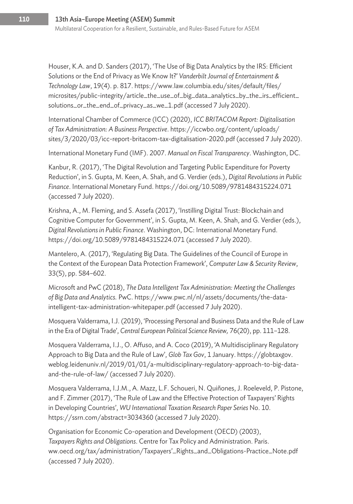Houser, K.A. and D. Sanders (2017), 'The Use of Big Data Analytics by the IRS: Efficient Solutions or the End of Privacy as We Know It?' *Vanderbilt Journal of Entertainment & Technology Law*, 19(4). p. 817. https://www.law.columbia.edu/sites/default/files/ microsites/public-integrity/article\_the\_use\_of\_big\_data\_analytics\_by\_the\_irs\_efficient\_ solutions\_or\_the\_end\_of\_privacy\_as\_we\_1.pdf (accessed 7 July 2020).

International Chamber of Commerce (ICC) (2020), *ICC BRITACOM Report: Digitalisation of Tax Administration: A Business Perspective*. https://iccwbo.org/content/uploads/ sites/3/2020/03/icc-report-britacom-tax-digitalisation-2020.pdf (accessed 7 July 2020).

International Monetary Fund (IMF). 2007. *Manual on Fiscal Transparency*. Washington, DC.

Kanbur, R. (2017), 'The Digital Revolution and Targeting Public Expenditure for Poverty Reduction', in S. Gupta, M. Keen, A. Shah, and G. Verdier (eds.), *Digital Revolutions in Public Finance*. International Monetary Fund. https://doi.org/10.5089/9781484315224.071 (accessed 7 July 2020).

Krishna, A., M. Fleming, and S. Assefa (2017), 'Instilling Digital Trust: Blockchain and Cognitive Computer for Government', in S. Gupta, M. Keen, A. Shah, and G. Verdier (eds.), *Digital Revolutions in Public Finance*. Washington, DC: International Monetary Fund. https://doi.org/10.5089/9781484315224.071 (accessed 7 July 2020).

Mantelero, A. (2017), 'Regulating Big Data. The Guidelines of the Council of Europe in the Context of the European Data Protection Framework', *Computer Law & Security Review*, 33(5), pp. 584–602.

Microsoft and PwC (2018), *The Data Intelligent Tax Administration: Meeting the Challenges of Big Data and Analytics.* PwC. https://www.pwc.nl/nl/assets/documents/the-dataintelligent-tax-administration-whitepaper.pdf (accessed 7 July 2020).

Mosquera Valderrama, I.J. (2019), 'Processing Personal and Business Data and the Rule of Law in the Era of Digital Trade', *Central European Political Science Review,* 76(20), pp. 111–128.

Mosquera Valderrama, I.J., O. Affuso, and A. Coco (2019), 'A Multidisciplinary Regulatory Approach to Big Data and the Rule of Law', *Glob Tax Gov*, 1 January. https://globtaxgov. weblog.leidenuniv.nl/2019/01/01/a-multidisciplinary-regulatory-approach-to-big-dataand-the-rule-of-law/ (accessed 7 July 2020).

Mosquera Valderrama, I.J.M., A. Mazz, L.F. Schoueri, N. Quiñones, J. Roeleveld, P. Pistone, and F. Zimmer (2017), 'The Rule of Law and the Effective Protection of Taxpayers' Rights in Developing Countries', *WU International Taxation Research Paper Series* No. 10. https://ssrn.com/abstract=3034360 (accessed 7 July 2020).

Organisation for Economic Co-operation and Development (OECD) (2003), *Taxpayers Rights and Obligations*. Centre for Tax Policy and Administration. Paris. ww.oecd.org/tax/administration/Taxpayers'\_Rights\_and\_Obligations-Practice\_Note.pdf (accessed 7 July 2020).